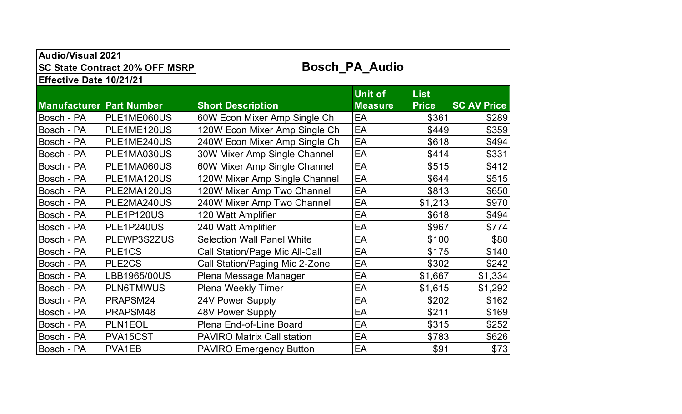| <b>Audio/Visual 2021</b>              |                  |                                       |                                  |                             |                    |  |
|---------------------------------------|------------------|---------------------------------------|----------------------------------|-----------------------------|--------------------|--|
| <b>SC State Contract 20% OFF MSRP</b> |                  | <b>Bosch PA Audio</b>                 |                                  |                             |                    |  |
| Effective Date 10/21/21               |                  |                                       |                                  |                             |                    |  |
| <b>Manufacturer Part Number</b>       |                  | <b>Short Description</b>              | <b>Unit of</b><br><b>Measure</b> | <b>List</b><br><b>Price</b> | <b>SC AV Price</b> |  |
| Bosch - PA                            | PLE1ME060US      | 60W Econ Mixer Amp Single Ch          | EA                               | \$361                       | \$289              |  |
| Bosch - PA                            | PLE1ME120US      | 120W Econ Mixer Amp Single Ch         | EA                               | \$449                       | \$359              |  |
| Bosch - PA                            | PLE1ME240US      | 240W Econ Mixer Amp Single Ch         | EA                               | \$618                       | \$494              |  |
| Bosch - PA                            | PLE1MA030US      | 30W Mixer Amp Single Channel          | EA                               | \$414                       | \$331              |  |
| Bosch - PA                            | PLE1MA060US      | 60W Mixer Amp Single Channel          | EA                               | \$515                       | \$412              |  |
| Bosch - PA                            | PLE1MA120US      | 120W Mixer Amp Single Channel         | EA                               | \$644                       | \$515              |  |
| Bosch - PA                            | PLE2MA120US      | 120W Mixer Amp Two Channel            | EA                               | \$813                       | \$650              |  |
| Bosch - PA                            | PLE2MA240US      | 240W Mixer Amp Two Channel            | EA                               | \$1,213                     | \$970              |  |
| Bosch - PA                            | PLE1P120US       | 120 Watt Amplifier                    | EA                               | \$618                       | \$494              |  |
| Bosch - PA                            | PLE1P240US       | 240 Watt Amplifier                    | EA                               | \$967                       | \$774              |  |
| Bosch - PA                            | PLEWP3S2ZUS      | <b>Selection Wall Panel White</b>     | EA                               | \$100                       | \$80               |  |
| Bosch - PA                            | PLE1CS           | <b>Call Station/Page Mic All-Call</b> | EA                               | \$175                       | \$140              |  |
| Bosch - PA                            | PLE2CS           | Call Station/Paging Mic 2-Zone        | EA                               | \$302                       | \$242              |  |
| Bosch - PA                            | LBB1965/00US     | Plena Message Manager                 | EA                               | \$1,667                     | \$1,334            |  |
| Bosch - PA                            | <b>PLN6TMWUS</b> | <b>Plena Weekly Timer</b>             | EA                               | \$1,615                     | \$1,292            |  |
| Bosch - PA                            | PRAPSM24         | 24V Power Supply                      | EA                               | \$202                       | \$162              |  |
| Bosch - PA                            | PRAPSM48         | 48V Power Supply                      | EA                               | \$211                       | \$169              |  |
| Bosch - PA                            | PLN1EOL          | Plena End-of-Line Board               | EA                               | \$315                       | \$252              |  |
| Bosch - PA                            | PVA15CST         | <b>PAVIRO Matrix Call station</b>     | EA                               | \$783                       | \$626              |  |
| Bosch - PA                            | PVA1EB           | <b>PAVIRO Emergency Button</b>        | EA                               | \$91                        | \$73]              |  |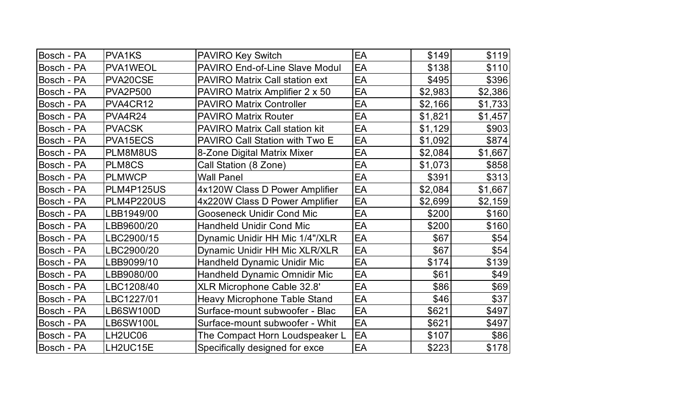| Bosch - PA | <b>PVA1KS</b>    | <b>PAVIRO Key Switch</b>              | EA | \$149   | \$119   |
|------------|------------------|---------------------------------------|----|---------|---------|
| Bosch - PA | PVA1WEOL         | PAVIRO End-of-Line Slave Modul        | EA | \$138   | \$110   |
| Bosch - PA | PVA20CSE         | <b>PAVIRO Matrix Call station ext</b> | EA | \$495   | \$396   |
| Bosch - PA | <b>PVA2P500</b>  | PAVIRO Matrix Amplifier 2 x 50        | EA | \$2,983 | \$2,386 |
| Bosch - PA | PVA4CR12         | <b>PAVIRO Matrix Controller</b>       | EA | \$2,166 | \$1,733 |
| Bosch - PA | PVA4R24          | <b>PAVIRO Matrix Router</b>           | EA | \$1,821 | \$1,457 |
| Bosch - PA | <b>PVACSK</b>    | <b>PAVIRO Matrix Call station kit</b> | EA | \$1,129 | \$903   |
| Bosch - PA | PVA15ECS         | PAVIRO Call Station with Two E        | EA | \$1,092 | \$874   |
| Bosch - PA | PLM8M8US         | 8-Zone Digital Matrix Mixer           | EA | \$2,084 | \$1,667 |
| Bosch - PA | PLM8CS           | Call Station (8 Zone)                 | EA | \$1,073 | \$858   |
| Bosch - PA | <b>PLMWCP</b>    | <b>Wall Panel</b>                     | EA | \$391   | \$313   |
| Bosch - PA | PLM4P125US       | 4x120W Class D Power Amplifier        | EA | \$2,084 | \$1,667 |
| Bosch - PA | PLM4P220US       | 4x220W Class D Power Amplifier        | EA | \$2,699 | \$2,159 |
| Bosch - PA | LBB1949/00       | <b>Gooseneck Unidir Cond Mic</b>      | EA | \$200   | \$160   |
| Bosch - PA | LBB9600/20       | <b>Handheld Unidir Cond Mic</b>       | EA | \$200   | \$160   |
| Bosch - PA | LBC2900/15       | Dynamic Unidir HH Mic 1/4"/XLR        | EA | \$67    | \$54    |
| Bosch - PA | LBC2900/20       | Dynamic Unidir HH Mic XLR/XLR         | EA | \$67    | \$54    |
| Bosch - PA | LBB9099/10       | Handheld Dynamic Unidir Mic           | EA | \$174   | \$139   |
| Bosch - PA | LBB9080/00       | Handheld Dynamic Omnidir Mic          | EA | \$61    | \$49    |
| Bosch - PA | LBC1208/40       | XLR Microphone Cable 32.8'            | EA | \$86    | \$69    |
| Bosch - PA | LBC1227/01       | <b>Heavy Microphone Table Stand</b>   | EA | \$46    | \$37    |
| Bosch - PA | <b>LB6SW100D</b> | Surface-mount subwoofer - Blac        | EA | \$621   | \$497   |
| Bosch - PA | <b>LB6SW100L</b> | Surface-mount subwoofer - Whit        | EA | \$621   | \$497   |
| Bosch - PA | LH2UC06          | The Compact Horn Loudspeaker L        | EA | \$107   | \$86    |
| Bosch - PA | LH2UC15E         | Specifically designed for exce        | EA | \$223   | \$178   |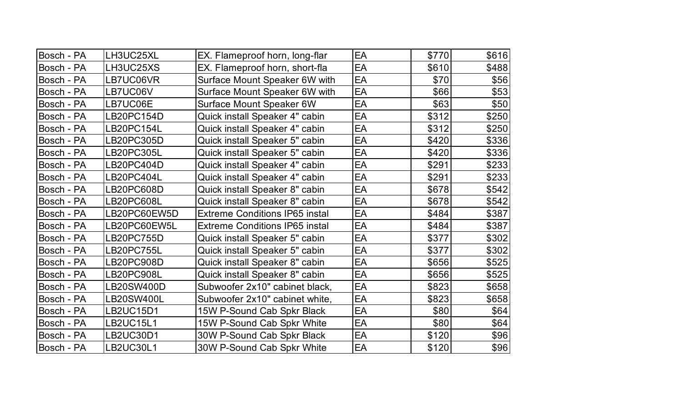| Bosch - PA | LH3UC25XL         | EX. Flameproof horn, long-flar        | EA | \$770 | \$616 |
|------------|-------------------|---------------------------------------|----|-------|-------|
| Bosch - PA | LH3UC25XS         | EX. Flameproof horn, short-fla        | EA | \$610 | \$488 |
| Bosch - PA | LB7UC06VR         | Surface Mount Speaker 6W with         | EA | \$70  | \$56  |
| Bosch - PA | LB7UC06V          | Surface Mount Speaker 6W with         | EA | \$66  | \$53  |
| Bosch - PA | LB7UC06E          | <b>Surface Mount Speaker 6W</b>       | EA | \$63  | \$50  |
| Bosch - PA | LB20PC154D        | Quick install Speaker 4" cabin        | EA | \$312 | \$250 |
| Bosch - PA | LB20PC154L        | Quick install Speaker 4" cabin        | EA | \$312 | \$250 |
| Bosch - PA | LB20PC305D        | Quick install Speaker 5" cabin        | EA | \$420 | \$336 |
| Bosch - PA | <b>LB20PC305L</b> | Quick install Speaker 5" cabin        | EA | \$420 | \$336 |
| Bosch - PA | LB20PC404D        | Quick install Speaker 4" cabin        | EA | \$291 | \$233 |
| Bosch - PA | LB20PC404L        | Quick install Speaker 4" cabin        | EA | \$291 | \$233 |
| Bosch - PA | LB20PC608D        | Quick install Speaker 8" cabin        | EA | \$678 | \$542 |
| Bosch - PA | LB20PC608L        | Quick install Speaker 8" cabin        | EA | \$678 | \$542 |
| Bosch - PA | LB20PC60EW5D      | <b>Extreme Conditions IP65 instal</b> | EA | \$484 | \$387 |
| Bosch - PA | LB20PC60EW5L      | <b>Extreme Conditions IP65 instal</b> | EA | \$484 | \$387 |
| Bosch - PA | <b>LB20PC755D</b> | Quick install Speaker 5" cabin        | EA | \$377 | \$302 |
| Bosch - PA | LB20PC755L        | Quick install Speaker 5" cabin        | EA | \$377 | \$302 |
| Bosch - PA | LB20PC908D        | Quick install Speaker 8" cabin        | EA | \$656 | \$525 |
| Bosch - PA | LB20PC908L        | Quick install Speaker 8" cabin        | EA | \$656 | \$525 |
| Bosch - PA | LB20SW400D        | Subwoofer 2x10" cabinet black,        | EA | \$823 | \$658 |
| Bosch - PA | <b>LB20SW400L</b> | Subwoofer 2x10" cabinet white,        | EA | \$823 | \$658 |
| Bosch - PA | <b>LB2UC15D1</b>  | 15W P-Sound Cab Spkr Black            | EA | \$80  | \$64  |
| Bosch - PA | LB2UC15L1         | 15W P-Sound Cab Spkr White            | EA | \$80  | \$64  |
| Bosch - PA | <b>LB2UC30D1</b>  | 30W P-Sound Cab Spkr Black            | EA | \$120 | \$96  |
| Bosch - PA | <b>LB2UC30L1</b>  | 30W P-Sound Cab Spkr White            | EA | \$120 | \$96  |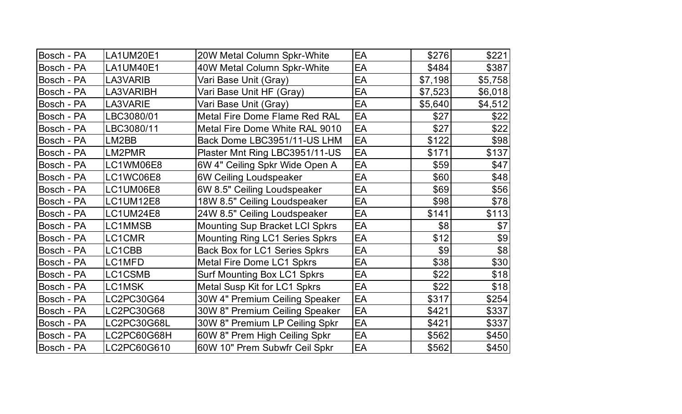| Bosch - PA | LA1UM20E1   | 20W Metal Column Spkr-White           | EA | \$276   | \$221   |
|------------|-------------|---------------------------------------|----|---------|---------|
| Bosch - PA | LA1UM40E1   | 40W Metal Column Spkr-White           | EA | \$484   | \$387   |
| Bosch - PA | LA3VARIB    | Vari Base Unit (Gray)                 | EA | \$7,198 | \$5,758 |
| Bosch - PA | LA3VARIBH   | Vari Base Unit HF (Gray)              | EA | \$7,523 | \$6,018 |
| Bosch - PA | LA3VARIE    | Vari Base Unit (Gray)                 | EA | \$5,640 | \$4,512 |
| Bosch - PA | LBC3080/01  | Metal Fire Dome Flame Red RAL         | EA | \$27    | \$22    |
| Bosch - PA | LBC3080/11  | Metal Fire Dome White RAL 9010        | EA | \$27    | \$22    |
| Bosch - PA | LM2BB       | Back Dome LBC3951/11-US LHM           | EA | \$122   | \$98    |
| Bosch - PA | LM2PMR      | Plaster Mnt Ring LBC3951/11-US        | EA | \$171   | \$137   |
| Bosch - PA | LC1WM06E8   | 6W 4" Ceiling Spkr Wide Open A        | EA | \$59    | \$47    |
| Bosch - PA | LC1WC06E8   | 6W Ceiling Loudspeaker                | EA | \$60    | \$48    |
| Bosch - PA | LC1UM06E8   | 6W 8.5" Ceiling Loudspeaker           | EA | \$69    | \$56    |
| Bosch - PA | LC1UM12E8   | 18W 8.5" Ceiling Loudspeaker          | EA | \$98    | \$78    |
| Bosch - PA | LC1UM24E8   | 24W 8.5" Ceiling Loudspeaker          | EA | \$141   | \$113   |
| Bosch - PA | LC1MMSB     | <b>Mounting Sup Bracket LCI Spkrs</b> | EA | \$8     | \$7     |
| Bosch - PA | LC1CMR      | <b>Mounting Ring LC1 Series Spkrs</b> | EA | \$12    | \$9     |
| Bosch - PA | LC1CBB      | <b>Back Box for LC1 Series Spkrs</b>  | EA | \$9     | \$8     |
| Bosch - PA | LC1MFD      | <b>Metal Fire Dome LC1 Spkrs</b>      | EA | \$38    | \$30    |
| Bosch - PA | LC1CSMB     | <b>Surf Mounting Box LC1 Spkrs</b>    | EA | \$22    | \$18    |
| Bosch - PA | LC1MSK      | Metal Susp Kit for LC1 Spkrs          | EA | \$22    | \$18    |
| Bosch - PA | LC2PC30G64  | 30W 4" Premium Ceiling Speaker        | EA | \$317   | \$254]  |
| Bosch - PA | LC2PC30G68  | 30W 8" Premium Ceiling Speaker        | EA | \$421   | \$337   |
| Bosch - PA | LC2PC30G68L | 30W 8" Premium LP Ceiling Spkr        | EA | \$421   | \$337   |
| Bosch - PA | LC2PC60G68H | 60W 8" Prem High Ceiling Spkr         | EA | \$562   | \$450   |
| Bosch - PA | LC2PC60G610 | 60W 10" Prem Subwfr Ceil Spkr         | EA | \$562   | \$450   |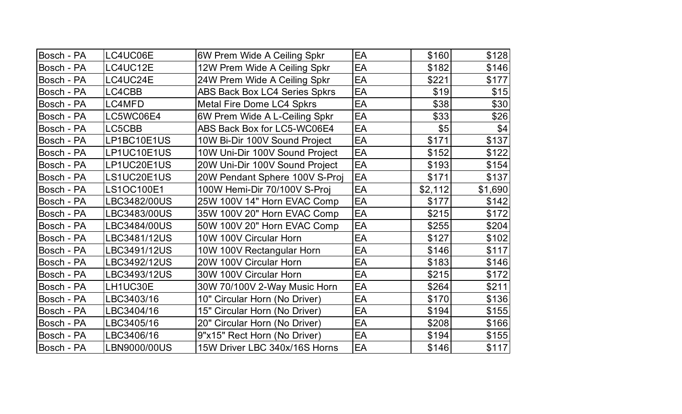| Bosch - PA | LC4UC06E     | 6W Prem Wide A Ceiling Spkr          | EA | \$160   | \$128   |
|------------|--------------|--------------------------------------|----|---------|---------|
| Bosch - PA | LC4UC12E     | 12W Prem Wide A Ceiling Spkr         | EA | \$182   | \$146   |
| Bosch - PA | LC4UC24E     | 24W Prem Wide A Ceiling Spkr         | EA | \$221   | \$177   |
| Bosch - PA | LC4CBB       | <b>ABS Back Box LC4 Series Spkrs</b> | EA | \$19    | \$15    |
| Bosch - PA | LC4MFD       | <b>Metal Fire Dome LC4 Spkrs</b>     | EA | \$38    | \$30    |
| Bosch - PA | LC5WC06E4    | 6W Prem Wide A L-Ceiling Spkr        | EA | \$33    | \$26    |
| Bosch - PA | LC5CBB       | ABS Back Box for LC5-WC06E4          | EA | \$5     | \$4     |
| Bosch - PA | LP1BC10E1US  | 10W Bi-Dir 100V Sound Project        | EA | \$171   | \$137   |
| Bosch - PA | LP1UC10E1US  | 10W Uni-Dir 100V Sound Project       | EA | \$152   | \$122   |
| Bosch - PA | LP1UC20E1US  | 20W Uni-Dir 100V Sound Project       | EA | \$193   | \$154   |
| Bosch - PA | LS1UC20E1US  | 20W Pendant Sphere 100V S-Proj       | EA | \$171   | \$137   |
| Bosch - PA | LS1OC100E1   | 100W Hemi-Dir 70/100V S-Proj         | EA | \$2,112 | \$1,690 |
| Bosch - PA | LBC3482/00US | 25W 100V 14" Horn EVAC Comp          | EA | \$177   | \$142   |
| Bosch - PA | LBC3483/00US | 35W 100V 20" Horn EVAC Comp          | EA | \$215   | \$172   |
| Bosch - PA | LBC3484/00US | 50W 100V 20" Horn EVAC Comp          | EA | \$255   | \$204   |
| Bosch - PA | LBC3481/12US | 10W 100V Circular Horn               | EA | \$127   | \$102   |
| Bosch - PA | LBC3491/12US | 10W 100V Rectangular Horn            | EA | \$146   | \$117   |
| Bosch - PA | LBC3492/12US | 20W 100V Circular Horn               | EA | \$183   | \$146   |
| Bosch - PA | LBC3493/12US | 30W 100V Circular Horn               | EA | \$215   | \$172   |
| Bosch - PA | LH1UC30E     | 30W 70/100V 2-Way Music Horn         | EA | \$264   | \$211   |
| Bosch - PA | LBC3403/16   | 10" Circular Horn (No Driver)        | EA | \$170   | \$136   |
| Bosch - PA | LBC3404/16   | 15" Circular Horn (No Driver)        | EA | \$194   | \$155   |
| Bosch - PA | LBC3405/16   | 20" Circular Horn (No Driver)        | EA | \$208   | \$166   |
| Bosch - PA | LBC3406/16   | 9"x15" Rect Horn (No Driver)         | EA | \$194   | \$155   |
| Bosch - PA | LBN9000/00US | 15W Driver LBC 340x/16S Horns        | EA | \$146   | \$117   |